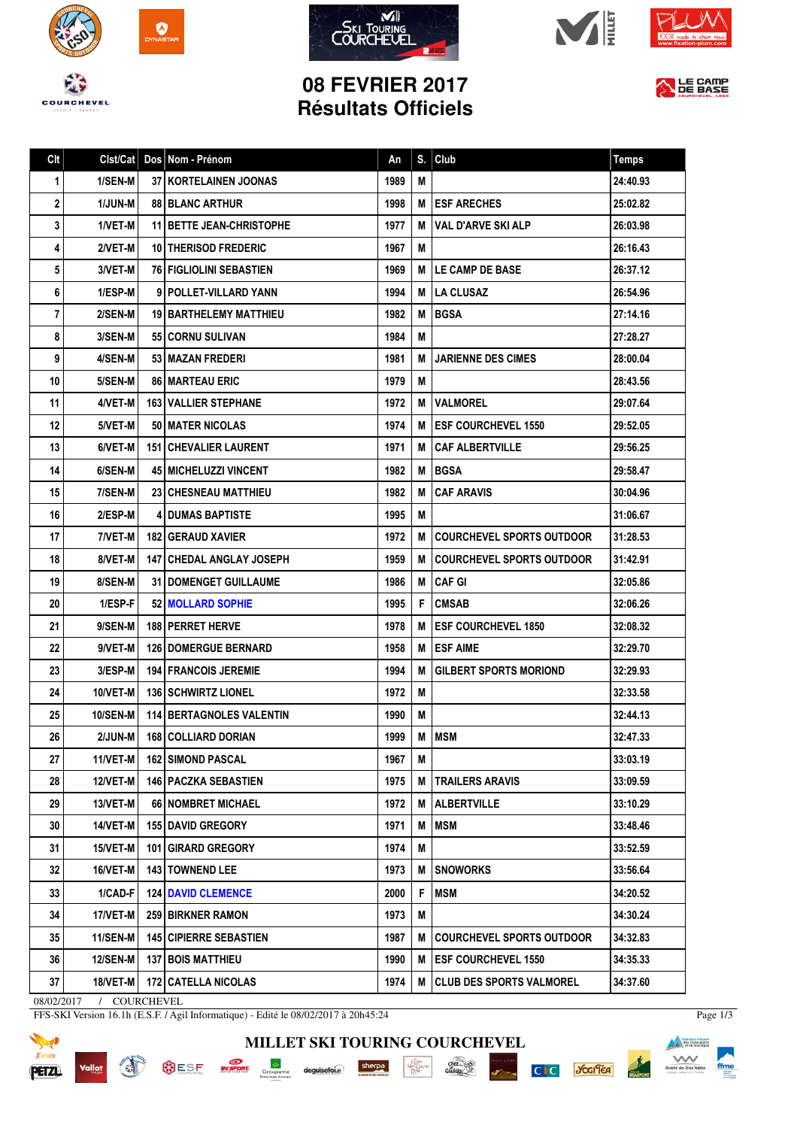









## **08 FEVRIER 2017 Résultats Officiels**



| Clt | Clst/Cat       | Dos Nom - Prénom                  | An   | S. | Club                             | <b>Temps</b> |
|-----|----------------|-----------------------------------|------|----|----------------------------------|--------------|
| 1   | 1/SEN-M        | <b>37   KORTELAINEN JOONAS</b>    | 1989 | M  |                                  | 24:40.93     |
| 2   | 1/JUN-M        | <b>88 BLANC ARTHUR</b>            | 1998 | м  | <b>ESF ARECHES</b>               | 25:02.82     |
| 3   | 1/VET-M        | <b>11 BETTE JEAN-CHRISTOPHE</b>   | 1977 | м  | <b>VAL D'ARVE SKI ALP</b>        | 26:03.98     |
| 4   | 2/VET-M        | 10   THERISOD FREDERIC            | 1967 | M  |                                  | 26:16.43     |
| 5   | 3/VET-M        | <b>76   FIGLIOLINI SEBASTIEN</b>  | 1969 | м  | <b>ILE CAMP DE BASE</b>          | 26:37.12     |
| 6   | 1/ESP-M        | 9 POLLET-VILLARD YANN             | 1994 | М  | <b>ILA CLUSAZ</b>                | 26:54.96     |
| 7   | 2/SEN-M        | <b>19 BARTHELEMY MATTHIEU</b>     | 1982 | М  | <b>BGSA</b>                      | 27:14.16     |
| 8   | <b>3/SEN-M</b> | 55 CORNU SULIVAN                  | 1984 | M  |                                  | 27:28.27     |
| 9   | 4/SEN-M        | 53 MAZAN FREDERI                  | 1981 | м  | <b>JARIENNE DES CIMES</b>        | 28:00.04     |
| 10  | 5/SEN-M        | <b>86   MARTEAU ERIC</b>          | 1979 | M  |                                  | 28:43.56     |
| 11  | 4/VET-M        | <b>163 I VALLIER STEPHANE</b>     | 1972 | M  | <b>VALMOREL</b>                  | 29:07.64     |
| 12  | 5/VET-M        | 50   MATER NICOLAS                | 1974 | М  | <b>IESF COURCHEVEL 1550</b>      | 29:52.05     |
| 13  | 6/VET-M        | <b>151   CHEVALIER LAURENT</b>    | 1971 | м  | <b>CAF ALBERTVILLE</b>           | 29:56.25     |
| 14  | 6/SEN-M        | <b>45   MICHELUZZI VINCENT</b>    | 1982 | м  | <b>IBGSA</b>                     | 29:58.47     |
| 15  | 7/SEN-M        | <b>23 CHESNEAU MATTHIEU</b>       | 1982 | М  | <b>CAF ARAVIS</b>                | 30:04.96     |
| 16  | 2/ESP-M        | <b>41 DUMAS BAPTISTE</b>          | 1995 | м  |                                  | 31:06.67     |
| 17  | 7/VET-M        | <b>182   GERAUD XAVIER</b>        | 1972 | М  | COURCHEVEL SPORTS OUTDOOR        | 31:28.53     |
| 18  | 8/VET-M        | <b>147   CHEDAL ANGLAY JOSEPH</b> | 1959 | м  | COURCHEVEL SPORTS OUTDOOR        | 31:42.91     |
| 19  | 8/SEN-M        | <b>31 DOMENGET GUILLAUME</b>      | 1986 | M  | l CAF GI                         | 32:05.86     |
| 20  | 1/ESP-F        | <b>52   MOLLARD SOPHIE</b>        | 1995 | F  | <b>CMSAB</b>                     | 32:06.26     |
| 21  | 9/SEN-M        | <b>188   PERRET HERVE</b>         | 1978 | М  | <b>ESF COURCHEVEL 1850</b>       | 32:08.32     |
| 22  | 9/VET-M        | <b>126   DOMERGUE BERNARD</b>     | 1958 | M  | <b>IESFAIME</b>                  | 32:29.70     |
| 23  | 3/ESP-M        | <b>194   FRANCOIS JEREMIE</b>     | 1994 | М  | <b>GILBERT SPORTS MORIOND</b>    | 32:29.93     |
| 24  | 10/VET-M       | 136 SCHWIRTZ LIONEL               | 1972 | M  |                                  | 32:33.58     |
| 25  | 10/SEN-M       | <b>114 BERTAGNOLES VALENTIN</b>   | 1990 | M  |                                  | 32:44.13     |
| 26  |                | 2/JUN-M   168   COLLIARD DORIAN   | 1999 |    | M   MSM                          | 32:47.33     |
| 27  | $11/NET-M$     | <b>162 SIMOND PASCAL</b>          | 1967 | M  |                                  | 33:03.19     |
| 28  | 12/VET-M       | <b>146   PACZKA SEBASTIEN</b>     | 1975 | M  | <b>TRAILERS ARAVIS</b>           | 33:09.59     |
| 29  | 13/VET-M       | 66   NOMBRET MICHAEL              | 1972 | M  | ALBERTVILLE                      | 33:10.29     |
| 30  | 14/VET-M       | <b>155 DAVID GREGORY</b>          | 1971 | M  | <b>MSM</b>                       | 33:48.46     |
| 31  | 15/VET-M       | 101 GIRARD GREGORY                | 1974 | M  |                                  | 33:52.59     |
| 32  | 16/VET-M       | 143 TOWNEND LEE                   | 1973 | M  | <b>SNOWORKS</b>                  | 33:56.64     |
| 33  | 1/CAD-F        | <b>124   DAVID CLEMENCE</b>       | 2000 | F  | <b>MSM</b>                       | 34:20.52     |
| 34  | 17/VET-M       | <b>259 BIRKNER RAMON</b>          | 1973 | M  |                                  | 34:30.24     |
| 35  | 11/SEN-M       | <b>145 CIPIERRE SEBASTIEN</b>     | 1987 | M  | <b>COURCHEVEL SPORTS OUTDOOR</b> | 34:32.83     |
| 36  | 12/SEN-M       | <b>137 BOIS MATTHIEU</b>          | 1990 | M  | <b>ESF COURCHEVEL 1550</b>       | 34:35.33     |
| 37  | 18/VET-M       | <b>172   CATELLA NICOLAS</b>      | 1974 | M  | CLUB DES SPORTS VALMOREL         | 34:37.60     |

**MILLET SKI TOURING COURCHEVEL**

 $\cdot \underbrace{ \underset{P \in \mathbf{R}^1}{\underset{P \in \mathbf{R}^1}{\underset{P \in \mathbf{R}^1}{\underset{P \in \mathbf{R}^2}{\underset{P \in \mathbf{R}^2}}}}}_{\text{Max}}$ 

 $\frac{\text{chez}}{\text{Gal}(0)\text{s}}$ 

**C**<sub>I</sub> C **Scalled** 

08/02/2017 / COURCHEVEL

Vallat

**REAL** 

FFS-SKI Version 16.1h (E.S.F. / Agil Informatique) - Edité le 08/02/2017 à 20h45:24

SESE **EVERENT** Groupama deguisetoi. Sherpa



Page 1/3

**Execution franceire**<br> **Execution des clubs alpins**<br> **Execution de montagne**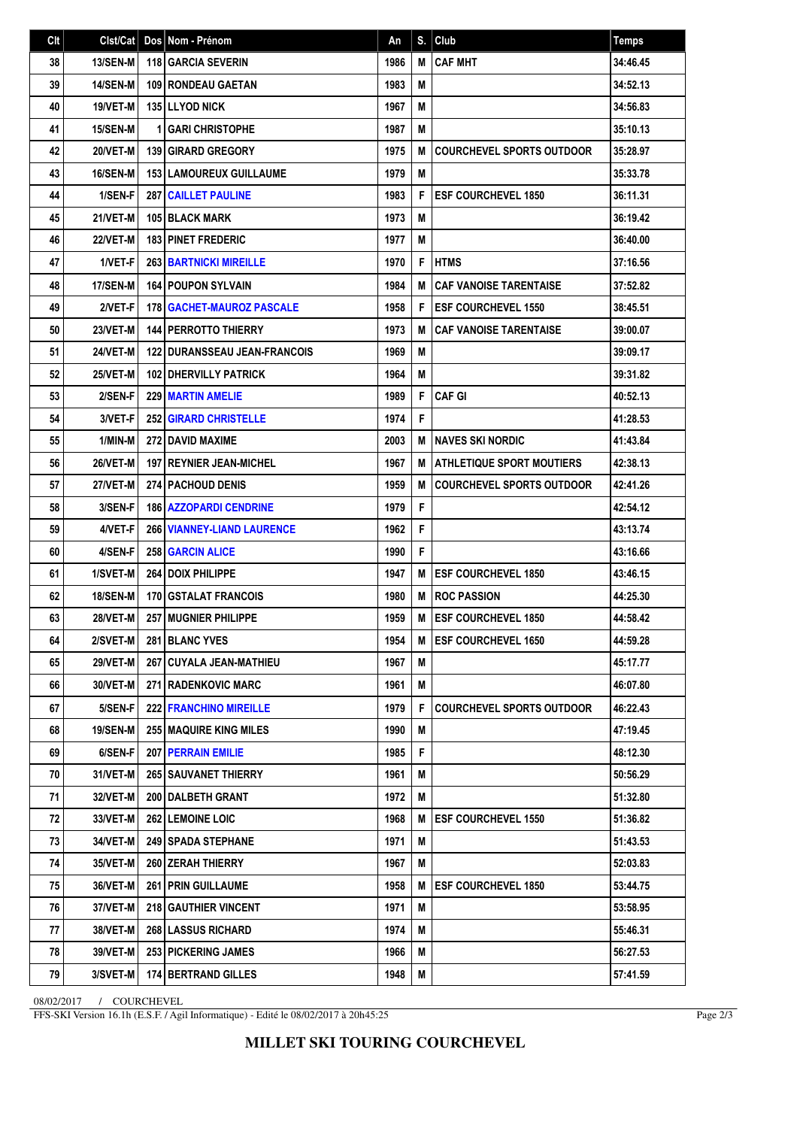| Cl <sub>t</sub> | Clst/Cat        | Dos Nom - Prénom                    | An   | S. | Club                             | <b>Temps</b> |
|-----------------|-----------------|-------------------------------------|------|----|----------------------------------|--------------|
| 38              | 13/SEN-M        | <b>118 GARCIA SEVERIN</b>           | 1986 | M  | <b>CAF MHT</b>                   | 34:46.45     |
| 39              | <b>14/SEN-M</b> | <b>109 RONDEAU GAETAN</b>           | 1983 | M  |                                  | 34:52.13     |
| 40              | 19/VET-M        | <b>135 LLYOD NICK</b>               | 1967 | M  |                                  | 34:56.83     |
| 41              | 15/SEN-M        | <b>1 GARI CHRISTOPHE</b>            | 1987 | M  |                                  | 35:10.13     |
| 42              | 20/VET-M        | 139 GIRARD GREGORY                  | 1975 | M  | <b>COURCHEVEL SPORTS OUTDOOR</b> | 35:28.97     |
| 43              | 16/SEN-M        | 153 LAMOUREUX GUILLAUME             | 1979 | M  |                                  | 35:33.78     |
| 44              | 1/SEN-F         | <b>287 CAILLET PAULINE</b>          | 1983 | F  | <b>ESF COURCHEVEL 1850</b>       | 36:11.31     |
| 45              | 21/VET-M        | <b>105 BLACK MARK</b>               | 1973 | M  |                                  | 36:19.42     |
| 46              | 22/VET-M        | <b>183 PINET FREDERIC</b>           | 1977 | M  |                                  | 36:40.00     |
| 47              | 1/VET-F         | <b>263 BARTNICKI MIREILLE</b>       | 1970 | F  | <b>HTMS</b>                      | 37:16.56     |
| 48              | <b>17/SEN-M</b> | <b>164   POUPON SYLVAIN</b>         | 1984 | М  | <b>CAF VANOISE TARENTAISE</b>    | 37:52.82     |
| 49              | 2/VET-F         | <b>178 GACHET-MAUROZ PASCALE</b>    | 1958 | F  | <b>ESF COURCHEVEL 1550</b>       | 38:45.51     |
| 50              | 23/VET-M        | <b>144   PERROTTO THIERRY</b>       | 1973 | М  | <b>CAF VANOISE TARENTAISE</b>    | 39:00.07     |
| 51              | 24/VET-M        | <b>122 DURANSSEAU JEAN-FRANCOIS</b> | 1969 | M  |                                  | 39:09.17     |
| 52              | 25/VET-M        | <b>102 DHERVILLY PATRICK</b>        | 1964 | M  |                                  | 39:31.82     |
| 53              | 2/SEN-F         | <b>229 MARTIN AMELIE</b>            | 1989 | F  | <b>CAF GI</b>                    | 40:52.13     |
| 54              | 3/VET-F         | 252 GIRARD CHRISTELLE               | 1974 | F  |                                  | 41:28.53     |
| 55              | 1/MIN-M         | 272 DAVID MAXIME                    | 2003 | M  | <b>INAVES SKI NORDIC</b>         | 41:43.84     |
| 56              | 26/VET-M        | <b>197   REYNIER JEAN-MICHEL</b>    | 1967 | M  | <b>ATHLETIQUE SPORT MOUTIERS</b> | 42:38.13     |
| 57              | 27/VET-M        | <b>274 PACHOUD DENIS</b>            | 1959 | M  | <b>COURCHEVEL SPORTS OUTDOOR</b> | 42:41.26     |
| 58              | 3/SEN-F         | <b>186 AZZOPARDI CENDRINE</b>       | 1979 | F  |                                  | 42:54.12     |
| 59              | 4/VET-F         | <b>266   VIANNEY-LIAND LAURENCE</b> | 1962 | F  |                                  | 43:13.74     |
| 60              | 4/SEN-F         | <b>258 GARCIN ALICE</b>             | 1990 | F  |                                  | 43:16.66     |
| 61              | 1/SVET-M        | <b>264 DOIX PHILIPPE</b>            | 1947 | M  | <b>ESF COURCHEVEL 1850</b>       | 43:46.15     |
| 62              | <b>18/SEN-M</b> | <b>170 GSTALAT FRANCOIS</b>         | 1980 | M  | <b>I ROC PASSION</b>             | 44:25.30     |
| 63              | 28/VET-M        | <b>257 I MUGNIER PHILIPPE</b>       | 1959 | M  | <b>ESF COURCHEVEL 1850</b>       | 44:58.42     |
| 64              | $2/SVET-M$      | 281 BLANC YVES                      | 1954 |    | M   ESF COURCHEVEL 1650          | 44:59.28     |
| 65              | <b>29/VET-M</b> | 267   CUYALA JEAN-MATHIEU           | 1967 | М  |                                  | 45:17.77     |
| 66              | 30/VET-M        | 271 RADENKOVIC MARC                 | 1961 | M  |                                  | 46:07.80     |
| 67              | 5/SEN-F         | <b>222 FRANCHINO MIREILLE</b>       | 1979 | F  | <b>COURCHEVEL SPORTS OUTDOOR</b> | 46:22.43     |
| 68              | <b>19/SEN-M</b> | <b>255 MAQUIRE KING MILES</b>       | 1990 | M  |                                  | 47:19.45     |
| 69              | 6/SEN-F         | <b>207   PERRAIN EMILIE</b>         | 1985 | F. |                                  | 48:12.30     |
| 70              | 31/VET-M        | <b>265   SAUVANET THIERRY</b>       | 1961 | M  |                                  | 50:56.29     |
| 71              | <b>32/VET-M</b> | 200   DALBETH GRANT                 | 1972 | М  |                                  | 51:32.80     |
| 72              | 33/VET-M        | 262 LEMOINE LOIC                    | 1968 | М  | <b>ESF COURCHEVEL 1550</b>       | 51:36.82     |
| 73              | 34/VET-M        | <b>249 SPADA STEPHANE</b>           | 1971 | M  |                                  | 51:43.53     |
| 74              | <b>35/VET-M</b> | <b>260 IZERAH THIERRY</b>           | 1967 | M  |                                  | 52:03.83     |
| 75              | 36/VET-M        | 261 PRIN GUILLAUME                  | 1958 | M  | <b>ESF COURCHEVEL 1850</b>       | 53:44.75     |
| 76              | 37/VET-M        | <b>218   GAUTHIER VINCENT</b>       | 1971 | M  |                                  | 53:58.95     |
| 77              | 38/VET-M        | <b>268 LASSUS RICHARD</b>           | 1974 | M  |                                  | 55:46.31     |
| 78              | <b>39/VET-M</b> | 253 PICKERING JAMES                 | 1966 | M  |                                  | 56:27.53     |
| 79              | 3/SVET-M        | <b>174 BERTRAND GILLES</b>          | 1948 | M  |                                  | 57:41.59     |

08/02/2017 / COURCHEVEL

FFS-SKI Version 16.1h (E.S.F. / Agil Informatique) - Edité le 08/02/2017 à 20h45:25

Page 2/3